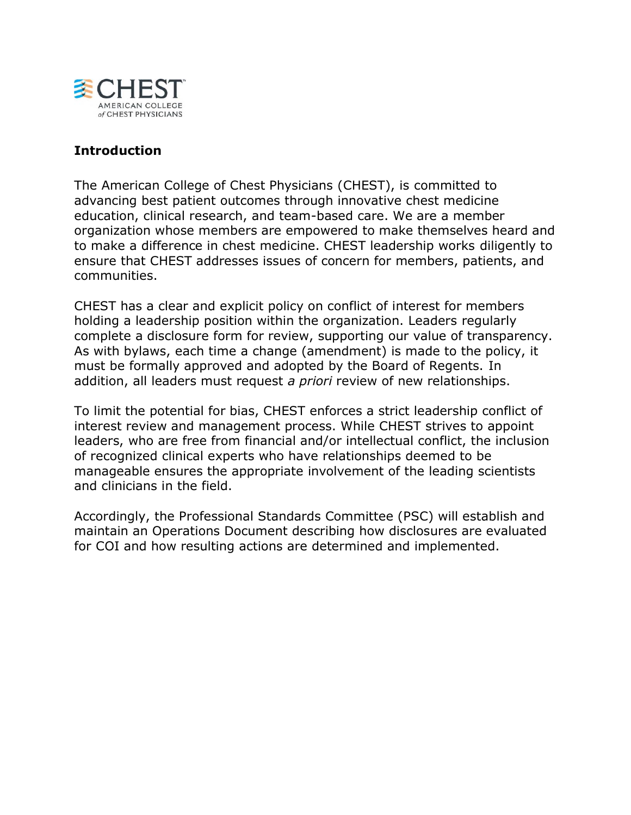

# **Introduction**

The American College of Chest Physicians (CHEST), is committed to advancing best patient outcomes through innovative chest medicine education, clinical research, and team-based care. We are a member organization whose members are empowered to make themselves heard and to make a difference in chest medicine. CHEST leadership works diligently to ensure that CHEST addresses issues of concern for members, patients, and communities.

CHEST has a clear and explicit policy on conflict of interest for members holding a leadership position within the organization. Leaders regularly complete a disclosure form for review, supporting our value of transparency. As with bylaws, each time a change (amendment) is made to the policy, it must be formally approved and adopted by the Board of Regents. In addition, all leaders must request *a priori* review of new relationships.

To limit the potential for bias, CHEST enforces a strict leadership conflict of interest review and management process. While CHEST strives to appoint leaders, who are free from financial and/or intellectual conflict, the inclusion of recognized clinical experts who have relationships deemed to be manageable ensures the appropriate involvement of the leading scientists and clinicians in the field.

Accordingly, the Professional Standards Committee (PSC) will establish and maintain an Operations Document describing how disclosures are evaluated for COI and how resulting actions are determined and implemented.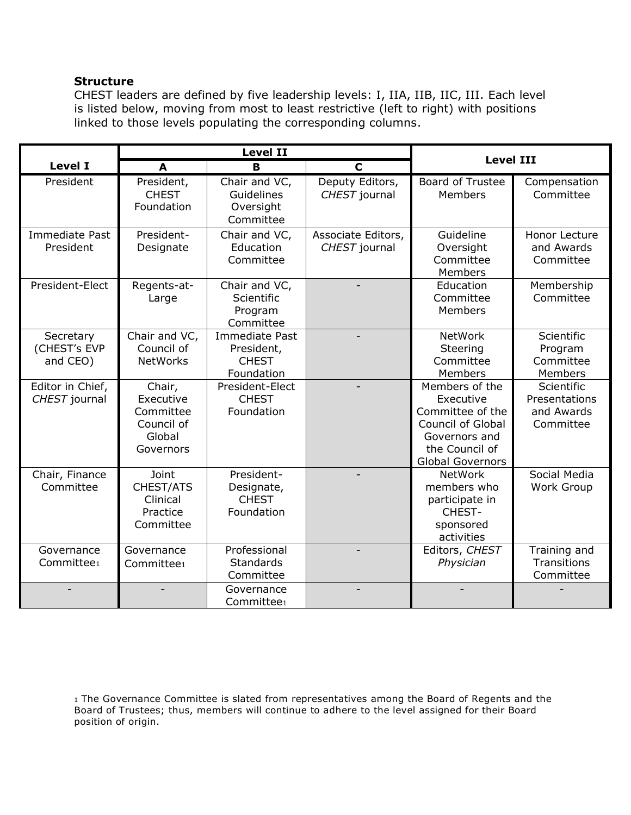#### **Structure**

CHEST leaders are defined by five leadership levels: I, IIA, IIB, IIC, III. Each level is listed below, moving from most to least restrictive (left to right) with positions linked to those levels populating the corresponding columns.

|                                       | <b>Level II</b>                                                       |                                                                   |                                     | <b>Level III</b>                                                                                                                          |                                                        |  |
|---------------------------------------|-----------------------------------------------------------------------|-------------------------------------------------------------------|-------------------------------------|-------------------------------------------------------------------------------------------------------------------------------------------|--------------------------------------------------------|--|
| <b>Level I</b>                        | A                                                                     | B                                                                 | $\mathbf C$                         |                                                                                                                                           |                                                        |  |
| President                             | President,<br><b>CHEST</b><br>Foundation                              | Chair and VC,<br>Guidelines<br>Oversight<br>Committee             | Deputy Editors,<br>CHEST journal    | <b>Board of Trustee</b><br>Members                                                                                                        | Compensation<br>Committee                              |  |
| <b>Immediate Past</b><br>President    | President-<br>Designate                                               | Chair and VC,<br>Education<br>Committee                           | Associate Editors,<br>CHEST journal | Guideline<br>Oversight<br>Committee<br>Members                                                                                            | <b>Honor Lecture</b><br>and Awards<br>Committee        |  |
| President-Elect                       | Regents-at-<br>Large                                                  | Chair and VC,<br>Scientific<br>Program<br>Committee               |                                     | Education<br>Committee<br>Members                                                                                                         | Membership<br>Committee                                |  |
| Secretary<br>(CHEST's EVP<br>and CEO) | Chair and VC,<br>Council of<br><b>NetWorks</b>                        | <b>Immediate Past</b><br>President,<br><b>CHEST</b><br>Foundation |                                     | <b>NetWork</b><br>Steering<br>Committee<br>Members                                                                                        | Scientific<br>Program<br>Committee<br>Members          |  |
| Editor in Chief,<br>CHEST journal     | Chair,<br>Executive<br>Committee<br>Council of<br>Global<br>Governors | President-Elect<br><b>CHEST</b><br>Foundation                     |                                     | Members of the<br>Executive<br>Committee of the<br><b>Council of Global</b><br>Governors and<br>the Council of<br><b>Global Governors</b> | Scientific<br>Presentations<br>and Awards<br>Committee |  |
| Chair, Finance<br>Committee           | Joint<br>CHEST/ATS<br>Clinical<br>Practice<br>Committee               | President-<br>Designate,<br><b>CHEST</b><br>Foundation            |                                     | NetWork<br>members who<br>participate in<br>CHEST-<br>sponsored<br>activities                                                             | Social Media<br>Work Group                             |  |
| Governance<br>Committee <sub>1</sub>  | Governance<br>Committee1                                              | Professional<br>Standards<br>Committee                            |                                     | Editors, CHEST<br>Physician                                                                                                               | Training and<br>Transitions<br>Committee               |  |
|                                       |                                                                       | Governance<br>Committee <sub>1</sub>                              |                                     |                                                                                                                                           |                                                        |  |

1 The Governance Committee is slated from representatives among the Board of Regents and the Board of Trustees; thus, members will continue to adhere to the level assigned for their Board position of origin.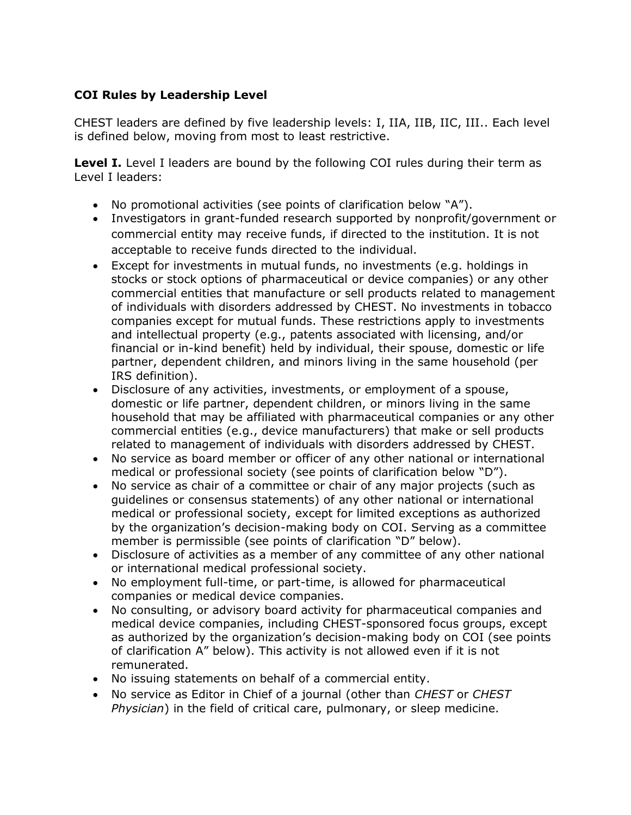## **COI Rules by Leadership Level**

CHEST leaders are defined by five leadership levels: I, IIA, IIB, IIC, III.. Each level is defined below, moving from most to least restrictive.

**Level I.** Level I leaders are bound by the following COI rules during their term as Level I leaders:

- No promotional activities (see points of clarification below "A").
- Investigators in grant-funded research supported by nonprofit/government or commercial entity may receive funds, if directed to the institution. It is not acceptable to receive funds directed to the individual.
- Except for investments in mutual funds, no investments (e.g. holdings in stocks or stock options of pharmaceutical or device companies) or any other commercial entities that manufacture or sell products related to management of individuals with disorders addressed by CHEST. No investments in tobacco companies except for mutual funds. These restrictions apply to investments and intellectual property (e.g., patents associated with licensing, and/or financial or in-kind benefit) held by individual, their spouse, domestic or life partner, dependent children, and minors living in the same household (per IRS definition).
- Disclosure of any activities, investments, or employment of a spouse, domestic or life partner, dependent children, or minors living in the same household that may be affiliated with pharmaceutical companies or any other commercial entities (e.g., device manufacturers) that make or sell products related to management of individuals with disorders addressed by CHEST.
- No service as board member or officer of any other national or international medical or professional society (see points of clarification below "D").
- No service as chair of a committee or chair of any major projects (such as guidelines or consensus statements) of any other national or international medical or professional society, except for limited exceptions as authorized by the organization's decision-making body on COI. Serving as a committee member is permissible (see points of clarification "D" below).
- Disclosure of activities as a member of any committee of any other national or international medical professional society.
- No employment full-time, or part-time, is allowed for pharmaceutical companies or medical device companies.
- No consulting, or advisory board activity for pharmaceutical companies and medical device companies, including CHEST-sponsored focus groups, except as authorized by the organization's decision-making body on COI (see points of clarification A" below). This activity is not allowed even if it is not remunerated.
- No issuing statements on behalf of a commercial entity.
- No service as Editor in Chief of a journal (other than *CHEST* or *CHEST Physician*) in the field of critical care, pulmonary, or sleep medicine.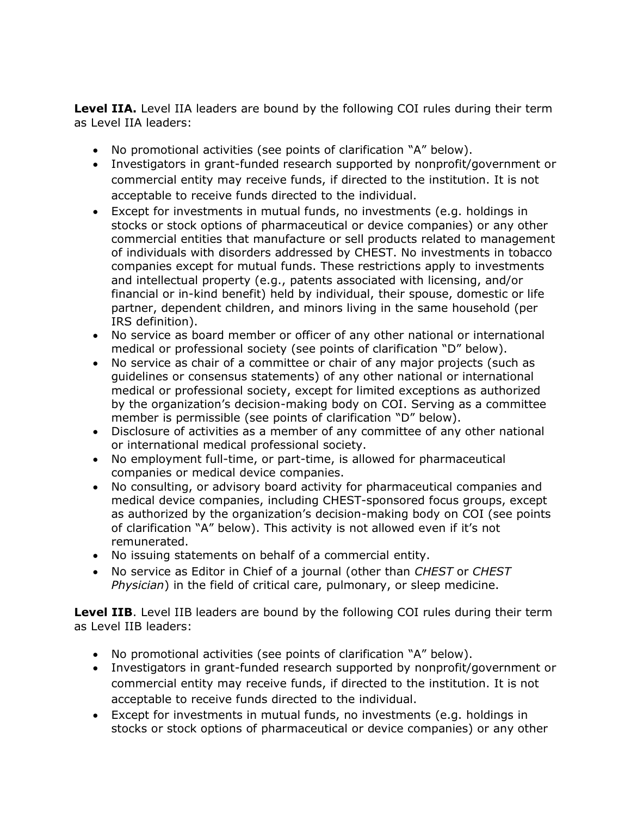**Level IIA.** Level IIA leaders are bound by the following COI rules during their term as Level IIA leaders:

- No promotional activities (see points of clarification "A" below).
- Investigators in grant-funded research supported by nonprofit/government or commercial entity may receive funds, if directed to the institution. It is not acceptable to receive funds directed to the individual.
- Except for investments in mutual funds, no investments (e.g. holdings in stocks or stock options of pharmaceutical or device companies) or any other commercial entities that manufacture or sell products related to management of individuals with disorders addressed by CHEST. No investments in tobacco companies except for mutual funds. These restrictions apply to investments and intellectual property (e.g., patents associated with licensing, and/or financial or in-kind benefit) held by individual, their spouse, domestic or life partner, dependent children, and minors living in the same household (per IRS definition).
- No service as board member or officer of any other national or international medical or professional society (see points of clarification "D" below).
- No service as chair of a committee or chair of any major projects (such as guidelines or consensus statements) of any other national or international medical or professional society, except for limited exceptions as authorized by the organization's decision-making body on COI. Serving as a committee member is permissible (see points of clarification "D" below).
- Disclosure of activities as a member of any committee of any other national or international medical professional society.
- No employment full-time, or part-time, is allowed for pharmaceutical companies or medical device companies.
- No consulting, or advisory board activity for pharmaceutical companies and medical device companies, including CHEST-sponsored focus groups, except as authorized by the organization's decision-making body on COI (see points of clarification "A" below). This activity is not allowed even if it's not remunerated.
- No issuing statements on behalf of a commercial entity.
- No service as Editor in Chief of a journal (other than *CHEST* or *CHEST Physician*) in the field of critical care, pulmonary, or sleep medicine.

**Level IIB**. Level IIB leaders are bound by the following COI rules during their term as Level IIB leaders:

- No promotional activities (see points of clarification "A" below).
- Investigators in grant-funded research supported by nonprofit/government or commercial entity may receive funds, if directed to the institution. It is not acceptable to receive funds directed to the individual.
- Except for investments in mutual funds, no investments (e.g. holdings in stocks or stock options of pharmaceutical or device companies) or any other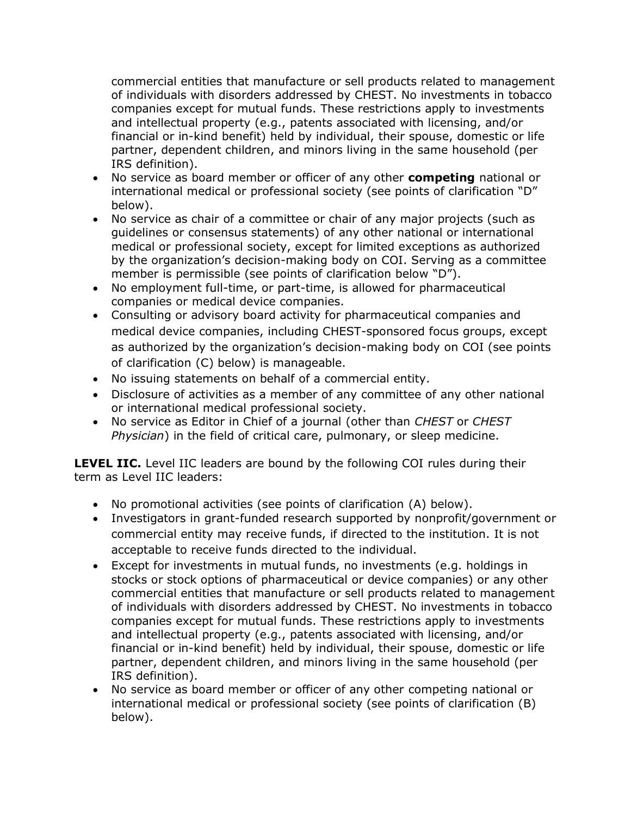commercial entities that manufacture or sell products related to management of individuals with disorders addressed by CHEST. No investments in tobacco companies except for mutual funds. These restrictions apply to investments and intellectual property (e.g., patents associated with licensing, and/or financial or in-kind benefit) held by individual, their spouse, domestic or life partner, dependent children, and minors living in the same household (per IRS definition).

- No service as board member or officer of any other **competing** national or international medical or professional society (see points of clarification "D" below).
- No service as chair of a committee or chair of any major projects (such as guidelines or consensus statements) of any other national or international medical or professional society, except for limited exceptions as authorized by the organization's decision-making body on COI. Serving as a committee member is permissible (see points of clarification below "D").
- No employment full-time, or part-time, is allowed for pharmaceutical companies or medical device companies.
- Consulting or advisory board activity for pharmaceutical companies and medical device companies, including CHEST-sponsored focus groups, except as authorized by the organization's decision-making body on COI (see points of clarification (C) below) is manageable.
- No issuing statements on behalf of a commercial entity.
- Disclosure of activities as a member of any committee of any other national or international medical professional society.
- No service as Editor in Chief of a journal (other than *CHEST* or *CHEST Physician*) in the field of critical care, pulmonary, or sleep medicine.

**LEVEL IIC.** Level IIC leaders are bound by the following COI rules during their term as Level IIC leaders:

- No promotional activities (see points of clarification (A) below).
- Investigators in grant-funded research supported by nonprofit/government or commercial entity may receive funds, if directed to the institution. It is not acceptable to receive funds directed to the individual.
- Except for investments in mutual funds, no investments (e.g. holdings in stocks or stock options of pharmaceutical or device companies) or any other commercial entities that manufacture or sell products related to management of individuals with disorders addressed by CHEST. No investments in tobacco companies except for mutual funds. These restrictions apply to investments and intellectual property (e.g., patents associated with licensing, and/or financial or in-kind benefit) held by individual, their spouse, domestic or life partner, dependent children, and minors living in the same household (per IRS definition).
- No service as board member or officer of any other competing national or international medical or professional society (see points of clarification (B) below).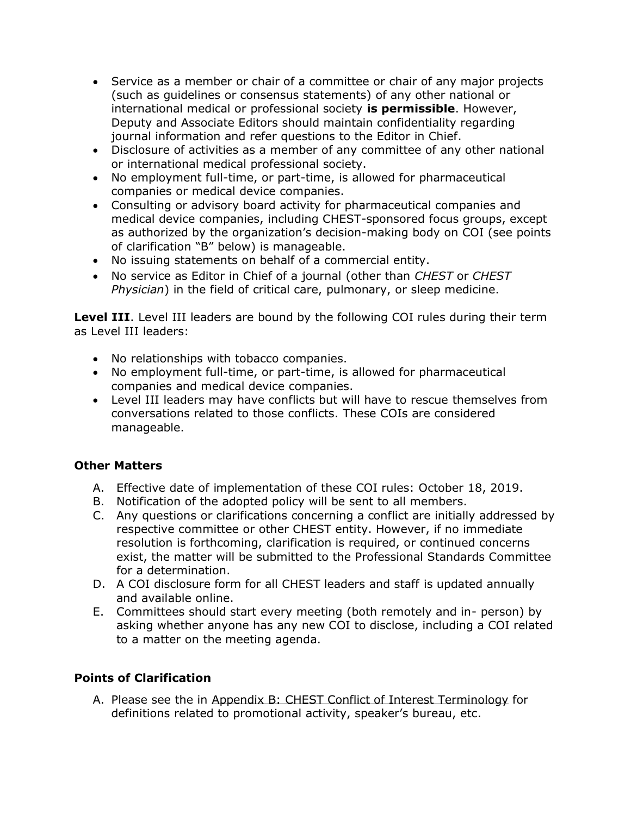- Service as a member or chair of a committee or chair of any major projects (such as guidelines or consensus statements) of any other national or international medical or professional society **is permissible**. However, Deputy and Associate Editors should maintain confidentiality regarding journal information and refer questions to the Editor in Chief.
- Disclosure of activities as a member of any committee of any other national or international medical professional society.
- No employment full-time, or part-time, is allowed for pharmaceutical companies or medical device companies.
- Consulting or advisory board activity for pharmaceutical companies and medical device companies, including CHEST-sponsored focus groups, except as authorized by the organization's decision-making body on COI (see points of clarification "B" below) is manageable.
- No issuing statements on behalf of a commercial entity.
- No service as Editor in Chief of a journal (other than *CHEST* or *CHEST Physician*) in the field of critical care, pulmonary, or sleep medicine.

**Level III**. Level III leaders are bound by the following COI rules during their term as Level III leaders:

- No relationships with tobacco companies.
- No employment full-time, or part-time, is allowed for pharmaceutical companies and medical device companies.
- Level III leaders may have conflicts but will have to rescue themselves from conversations related to those conflicts. These COIs are considered manageable.

### **Other Matters**

- A. Effective date of implementation of these COI rules: October 18, 2019.
- B. Notification of the adopted policy will be sent to all members.
- C. Any questions or clarifications concerning a conflict are initially addressed by respective committee or other CHEST entity. However, if no immediate resolution is forthcoming, clarification is required, or continued concerns exist, the matter will be submitted to the Professional Standards Committee for a determination.
- D. A COI disclosure form for all CHEST leaders and staff is updated annually and available online.
- E. Committees should start every meeting (both remotely and in- person) by asking whether anyone has any new COI to disclose, including a COI related to a matter on the meeting agenda.

## **Points of Clarification**

A. Please see the in [Appendix B: CHEST Conflict of Interest Terminology](#page-11-0) for definitions related to promotional activity, speaker's bureau, etc.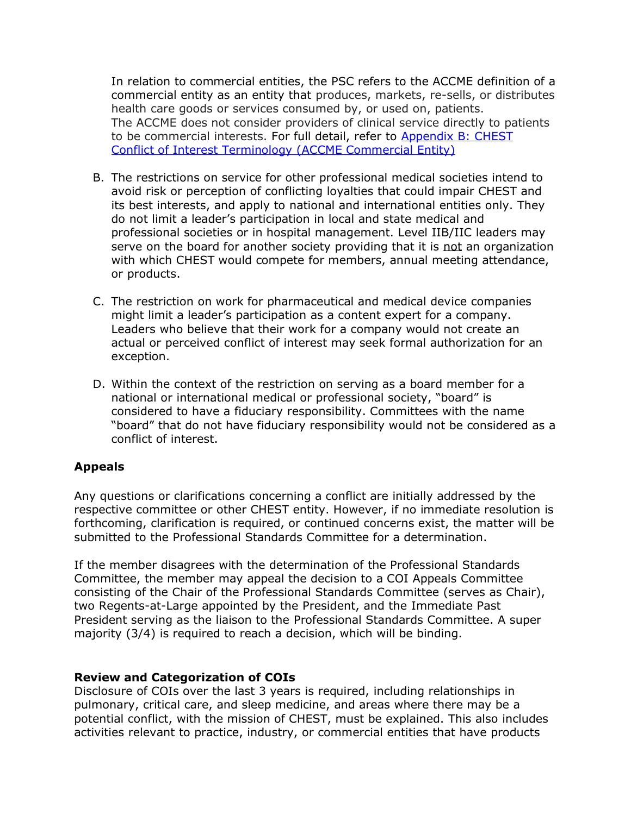In relation to commercial entities, the PSC refers to the ACCME definition of a commercial entity as an entity that produces, markets, re-sells, or distributes health care goods or services consumed by, or used on, patients. The ACCME does not consider providers of clinical service directly to patients to be commercial interests. For full detail, refer to Appendix B: CHEST [Conflict of Interest Terminology \(ACCME Commercial Entity\)](#page-11-0)

- B. The restrictions on service for other professional medical societies intend to avoid risk or perception of conflicting loyalties that could impair CHEST and its best interests, and apply to national and international entities only. They do not limit a leader's participation in local and state medical and professional societies or in hospital management. Level IIB/IIC leaders may serve on the board for another society providing that it is not an organization with which CHEST would compete for members, annual meeting attendance, or products.
- C. The restriction on work for pharmaceutical and medical device companies might limit a leader's participation as a content expert for a company. Leaders who believe that their work for a company would not create an actual or perceived conflict of interest may seek formal authorization for an exception.
- D. Within the context of the restriction on serving as a board member for a national or international medical or professional society, "board" is considered to have a fiduciary responsibility. Committees with the name "board" that do not have fiduciary responsibility would not be considered as a conflict of interest.

### **Appeals**

Any questions or clarifications concerning a conflict are initially addressed by the respective committee or other CHEST entity. However, if no immediate resolution is forthcoming, clarification is required, or continued concerns exist, the matter will be submitted to the Professional Standards Committee for a determination.

If the member disagrees with the determination of the Professional Standards Committee, the member may appeal the decision to a COI Appeals Committee consisting of the Chair of the Professional Standards Committee (serves as Chair), two Regents-at-Large appointed by the President, and the Immediate Past President serving as the liaison to the Professional Standards Committee. A super majority (3/4) is required to reach a decision, which will be binding.

### **Review and Categorization of COIs**

Disclosure of COIs over the last 3 years is required, including relationships in pulmonary, critical care, and sleep medicine, and areas where there may be a potential conflict, with the mission of CHEST, must be explained. This also includes activities relevant to practice, industry, or commercial entities that have products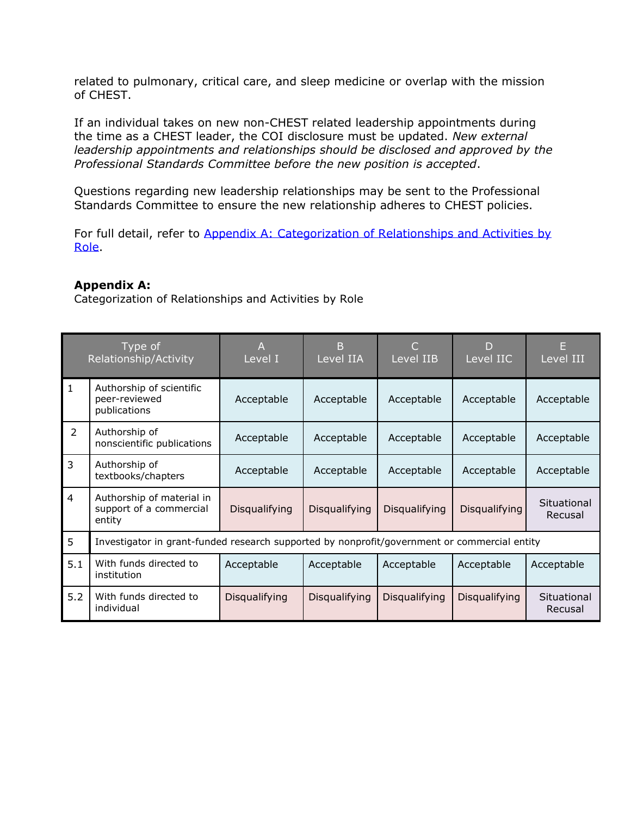related to pulmonary, critical care, and sleep medicine or overlap with the mission of CHEST.

If an individual takes on new non-CHEST related leadership appointments during the time as a CHEST leader, the COI disclosure must be updated. *New external leadership appointments and relationships should be disclosed and approved by the Professional Standards Committee before the new position is accepted*.

Questions regarding new leadership relationships may be sent to the Professional Standards Committee to ensure the new relationship adheres to CHEST policies.

For full detail, refer to [Appendix A: Categorization of Relationships and Activities by](#page-7-0)  [Role.](#page-7-0)

#### <span id="page-7-0"></span>**Appendix A:**

Categorization of Relationships and Activities by Role

| Type of<br>Relationship/Activity |                                                                                              | Level I       | B<br>Level IIA | Level IIB     | D<br>Level IIC | $\overline{\text{\sf Level III}}$ |  |
|----------------------------------|----------------------------------------------------------------------------------------------|---------------|----------------|---------------|----------------|-----------------------------------|--|
| $\mathbf{1}$                     | Authorship of scientific<br>peer-reviewed<br>publications                                    | Acceptable    | Acceptable     | Acceptable    | Acceptable     | Acceptable                        |  |
| $\overline{2}$                   | Authorship of<br>nonscientific publications                                                  | Acceptable    | Acceptable     | Acceptable    | Acceptable     | Acceptable                        |  |
| 3                                | Authorship of<br>textbooks/chapters                                                          | Acceptable    | Acceptable     | Acceptable    | Acceptable     | Acceptable                        |  |
| 4                                | Authorship of material in<br>support of a commercial<br>entity                               | Disqualifying | Disqualifying  | Disqualifying | Disqualifying  | Situational<br>Recusal            |  |
| 5                                | Investigator in grant-funded research supported by nonprofit/government or commercial entity |               |                |               |                |                                   |  |
| 5.1                              | With funds directed to<br>institution                                                        | Acceptable    | Acceptable     | Acceptable    | Acceptable     | Acceptable                        |  |
| 5.2                              | With funds directed to<br>individual                                                         | Disqualifying | Disqualifying  | Disqualifying | Disqualifying  | Situational<br>Recusal            |  |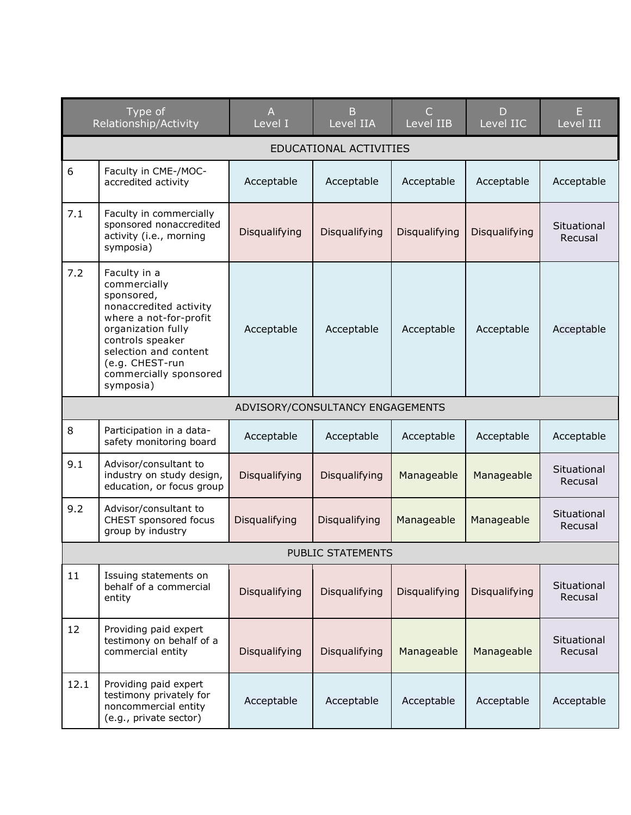|      | Type of<br>Relationship/Activity                                                                                                                                                                                            | A<br>Level I                     | B<br>Level IIA    | C<br>Level IIB | D<br>Level IIC | E<br>Level III         |  |  |
|------|-----------------------------------------------------------------------------------------------------------------------------------------------------------------------------------------------------------------------------|----------------------------------|-------------------|----------------|----------------|------------------------|--|--|
|      | EDUCATIONAL ACTIVITIES                                                                                                                                                                                                      |                                  |                   |                |                |                        |  |  |
| 6    | Faculty in CME-/MOC-<br>accredited activity                                                                                                                                                                                 | Acceptable                       | Acceptable        | Acceptable     | Acceptable     | Acceptable             |  |  |
| 7.1  | Faculty in commercially<br>sponsored nonaccredited<br>activity (i.e., morning<br>symposia)                                                                                                                                  | Disqualifying                    | Disqualifying     | Disqualifying  | Disqualifying  | Situational<br>Recusal |  |  |
| 7.2  | Faculty in a<br>commercially<br>sponsored,<br>nonaccredited activity<br>where a not-for-profit<br>organization fully<br>controls speaker<br>selection and content<br>(e.g. CHEST-run<br>commercially sponsored<br>symposia) | Acceptable                       | Acceptable        | Acceptable     | Acceptable     | Acceptable             |  |  |
|      |                                                                                                                                                                                                                             | ADVISORY/CONSULTANCY ENGAGEMENTS |                   |                |                |                        |  |  |
| 8    | Participation in a data-<br>safety monitoring board                                                                                                                                                                         | Acceptable                       | Acceptable        | Acceptable     | Acceptable     | Acceptable             |  |  |
| 9.1  | Advisor/consultant to<br>industry on study design,<br>education, or focus group                                                                                                                                             | Disqualifying                    | Disqualifying     | Manageable     | Manageable     | Situational<br>Recusal |  |  |
| 9.2  | Advisor/consultant to<br>CHEST sponsored focus<br>group by industry                                                                                                                                                         | Disqualifying                    | Disqualifying     | Manageable     | Manageable     | Situational<br>Recusal |  |  |
|      |                                                                                                                                                                                                                             |                                  | PUBLIC STATEMENTS |                |                |                        |  |  |
| 11   | Issuing statements on<br>behalf of a commercial<br>entity                                                                                                                                                                   | Disqualifying                    | Disqualifying     | Disqualifying  | Disqualifying  | Situational<br>Recusal |  |  |
| 12   | Providing paid expert<br>testimony on behalf of a<br>commercial entity                                                                                                                                                      | Disqualifying                    | Disqualifying     | Manageable     | Manageable     | Situational<br>Recusal |  |  |
| 12.1 | Providing paid expert<br>testimony privately for<br>noncommercial entity<br>(e.g., private sector)                                                                                                                          | Acceptable                       | Acceptable        | Acceptable     | Acceptable     | Acceptable             |  |  |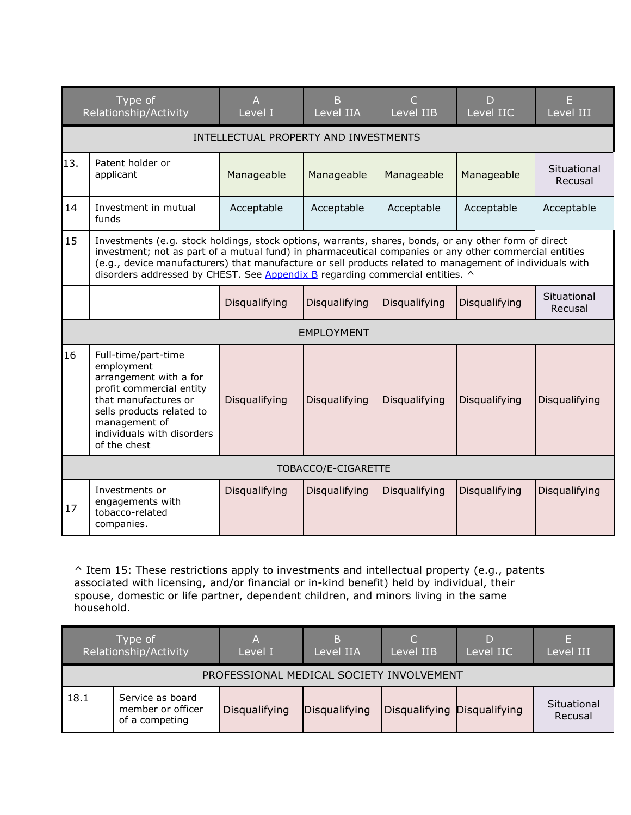| Type of<br>Relationship/Activity |                                                                                                                                                                                                                                                                                                                                                                                                              | A<br>Level I  | B<br>Level IIA    | C<br>Level IIB | D<br>Level IIC | Level III              |  |  |
|----------------------------------|--------------------------------------------------------------------------------------------------------------------------------------------------------------------------------------------------------------------------------------------------------------------------------------------------------------------------------------------------------------------------------------------------------------|---------------|-------------------|----------------|----------------|------------------------|--|--|
|                                  | INTELLECTUAL PROPERTY AND INVESTMENTS                                                                                                                                                                                                                                                                                                                                                                        |               |                   |                |                |                        |  |  |
| 13.                              | Patent holder or<br>applicant                                                                                                                                                                                                                                                                                                                                                                                | Manageable    | Manageable        | Manageable     | Manageable     | Situational<br>Recusal |  |  |
| 14                               | Investment in mutual<br>funds                                                                                                                                                                                                                                                                                                                                                                                | Acceptable    | Acceptable        | Acceptable     | Acceptable     | Acceptable             |  |  |
| 15                               | Investments (e.g. stock holdings, stock options, warrants, shares, bonds, or any other form of direct<br>investment; not as part of a mutual fund) in pharmaceutical companies or any other commercial entities<br>(e.g., device manufacturers) that manufacture or sell products related to management of individuals with<br>disorders addressed by CHEST. See Appendix B regarding commercial entities. ^ |               |                   |                |                |                        |  |  |
|                                  |                                                                                                                                                                                                                                                                                                                                                                                                              | Disqualifying | Disqualifying     | Disqualifying  | Disqualifying  | Situational<br>Recusal |  |  |
|                                  |                                                                                                                                                                                                                                                                                                                                                                                                              |               | <b>EMPLOYMENT</b> |                |                |                        |  |  |
| 16                               | Full-time/part-time<br>employment<br>arrangement with a for<br>profit commercial entity<br>that manufactures or<br>sells products related to<br>management of<br>individuals with disorders<br>of the chest                                                                                                                                                                                                  | Disqualifying | Disqualifying     | Disqualifying  | Disqualifying  | Disqualifying          |  |  |
| TOBACCO/E-CIGARETTE              |                                                                                                                                                                                                                                                                                                                                                                                                              |               |                   |                |                |                        |  |  |
| 17                               | Investments or<br>engagements with<br>tobacco-related<br>companies.                                                                                                                                                                                                                                                                                                                                          | Disqualifying | Disqualifying     | Disqualifying  | Disqualifying  | Disqualifying          |  |  |

^ Item 15: These restrictions apply to investments and intellectual property (e.g., patents associated with licensing, and/or financial or in-kind benefit) held by individual, their spouse, domestic or life partner, dependent children, and minors living in the same household.

| Type of<br>Relationship/Activity |                                                         | Α<br>Level I  | В<br>Level IIA | C.<br>Level IIB             | D<br>Level IIC | E<br>Level III         |  |  |
|----------------------------------|---------------------------------------------------------|---------------|----------------|-----------------------------|----------------|------------------------|--|--|
|                                  | PROFESSIONAL MEDICAL SOCIETY INVOLVEMENT                |               |                |                             |                |                        |  |  |
| 18.1                             | Service as board<br>member or officer<br>of a competing | Disqualifying | Disqualifying  | Disqualifying Disqualifying |                | Situational<br>Recusal |  |  |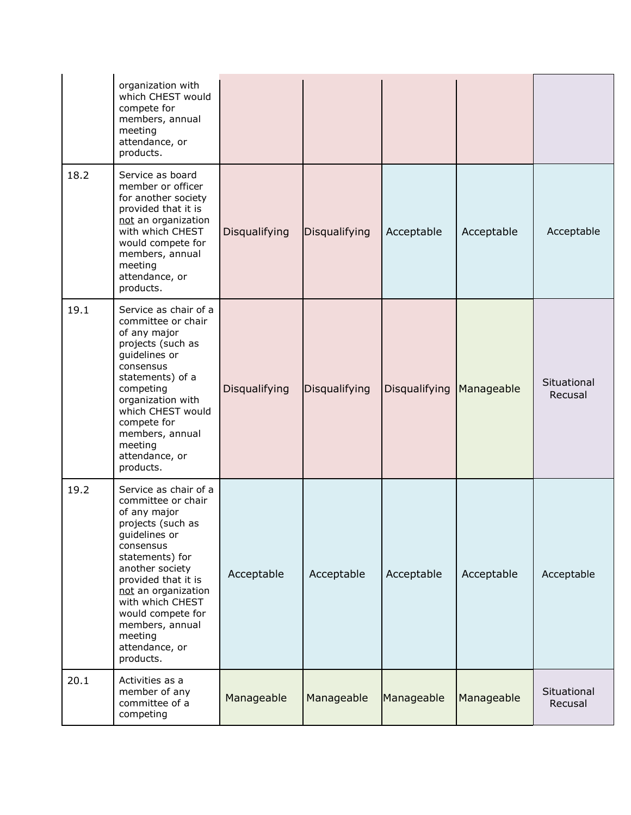|      | organization with<br>which CHEST would<br>compete for<br>members, annual<br>meeting<br>attendance, or<br>products.                                                                                                                                                                                       |               |               |               |            |                        |
|------|----------------------------------------------------------------------------------------------------------------------------------------------------------------------------------------------------------------------------------------------------------------------------------------------------------|---------------|---------------|---------------|------------|------------------------|
| 18.2 | Service as board<br>member or officer<br>for another society<br>provided that it is<br>not an organization<br>with which CHEST<br>would compete for<br>members, annual<br>meeting<br>attendance, or<br>products.                                                                                         | Disqualifying | Disqualifying | Acceptable    | Acceptable | Acceptable             |
| 19.1 | Service as chair of a<br>committee or chair<br>of any major<br>projects (such as<br>guidelines or<br>consensus<br>statements) of a<br>competing<br>organization with<br>which CHEST would<br>compete for<br>members, annual<br>meeting<br>attendance, or<br>products.                                    | Disqualifying | Disqualifying | Disqualifying | Manageable | Situational<br>Recusal |
| 19.2 | Service as chair of a<br>committee or chair<br>of any major<br>projects (such as<br>guidelines or<br>consensus<br>statements) for<br>another society<br>provided that it is<br>not an organization<br>with which CHEST<br>would compete for<br>members, annual<br>meeting<br>attendance, or<br>products. | Acceptable    | Acceptable    | Acceptable    | Acceptable | Acceptable             |
| 20.1 | Activities as a<br>member of any<br>committee of a<br>competing                                                                                                                                                                                                                                          | Manageable    | Manageable    | Manageable    | Manageable | Situational<br>Recusal |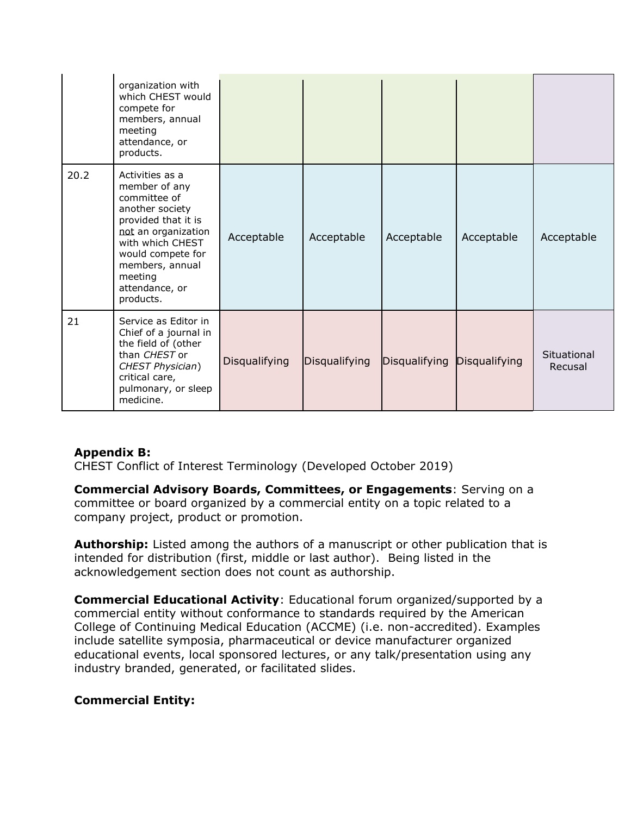|      | organization with<br>which CHEST would<br>compete for<br>members, annual<br>meeting<br>attendance, or<br>products.                                                                                                      |               |               |               |               |                        |
|------|-------------------------------------------------------------------------------------------------------------------------------------------------------------------------------------------------------------------------|---------------|---------------|---------------|---------------|------------------------|
| 20.2 | Activities as a<br>member of any<br>committee of<br>another society<br>provided that it is<br>not an organization<br>with which CHEST<br>would compete for<br>members, annual<br>meeting<br>attendance, or<br>products. | Acceptable    | Acceptable    | Acceptable    | Acceptable    | Acceptable             |
| 21   | Service as Editor in<br>Chief of a journal in<br>the field of (other<br>than CHEST or<br>CHEST Physician)<br>critical care,<br>pulmonary, or sleep<br>medicine.                                                         | Disqualifying | Disqualifying | Disqualifying | Disqualifying | Situational<br>Recusal |

## <span id="page-11-0"></span>**Appendix B:**

CHEST Conflict of Interest Terminology (Developed October 2019)

**Commercial Advisory Boards, Committees, or Engagements**: Serving on a committee or board organized by a commercial entity on a topic related to a company project, product or promotion.

**Authorship:** Listed among the authors of a manuscript or other publication that is intended for distribution (first, middle or last author). Being listed in the acknowledgement section does not count as authorship.

**Commercial Educational Activity**: Educational forum organized/supported by a commercial entity without conformance to standards required by the American College of Continuing Medical Education (ACCME) (i.e. non-accredited). Examples include satellite symposia, pharmaceutical or device manufacturer organized educational events, local sponsored lectures, or any talk/presentation using any industry branded, generated, or facilitated slides.

### **Commercial Entity:**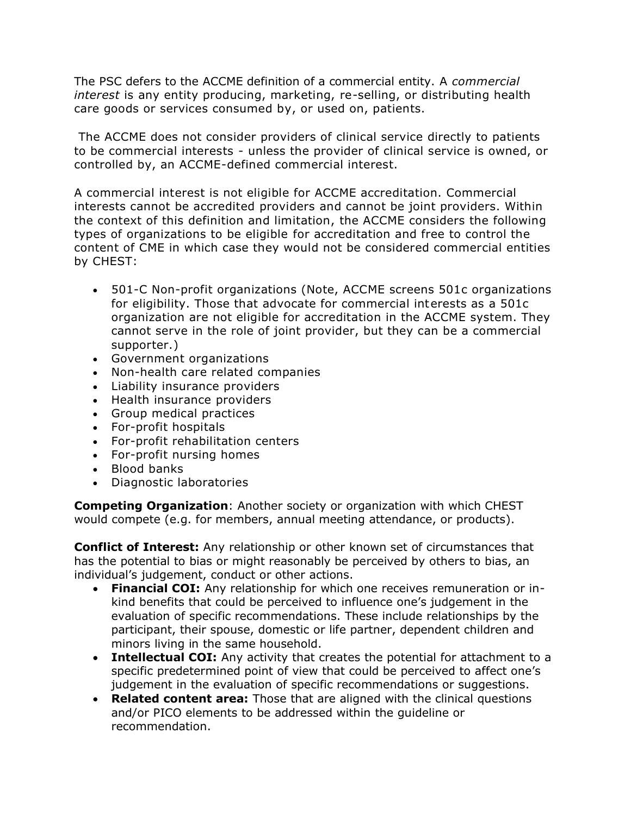The PSC defers to the ACCME definition of a commercial entity. A *commercial interest* is any entity producing, marketing, re-selling, or distributing health care goods or services consumed by, or used on, patients.

The ACCME does not consider providers of clinical service directly to patients to be commercial interests - unless the provider of clinical service is owned, or controlled by, an ACCME-defined commercial interest.

A commercial interest is not eligible for ACCME accreditation. Commercial interests cannot be accredited providers and cannot be joint providers. Within the context of this definition and limitation, the ACCME considers the following types of organizations to be eligible for accreditation and free to control the content of CME in which case they would not be considered commercial entities by CHEST:

- 501-C Non-profit organizations (Note, ACCME screens 501c organizations for eligibility. Those that advocate for commercial interests as a 501c organization are not eligible for accreditation in the ACCME system. They cannot serve in the role of joint provider, but they can be a commercial supporter.)
- Government organizations
- Non-health care related companies
- Liability insurance providers
- Health insurance providers
- Group medical practices
- For-profit hospitals
- For-profit rehabilitation centers
- For-profit nursing homes
- Blood banks
- Diagnostic laboratories

**Competing Organization**: Another society or organization with which CHEST would compete (e.g. for members, annual meeting attendance, or products).

**Conflict of Interest:** Any relationship or other known set of circumstances that has the potential to bias or might reasonably be perceived by others to bias, an individual's judgement, conduct or other actions.

- **Financial COI:** Any relationship for which one receives remuneration or inkind benefits that could be perceived to influence one's judgement in the evaluation of specific recommendations. These include relationships by the participant, their spouse, domestic or life partner, dependent children and minors living in the same household.
- **Intellectual COI:** Any activity that creates the potential for attachment to a specific predetermined point of view that could be perceived to affect one's judgement in the evaluation of specific recommendations or suggestions.
- **Related content area:** Those that are aligned with the clinical questions and/or PICO elements to be addressed within the guideline or recommendation.